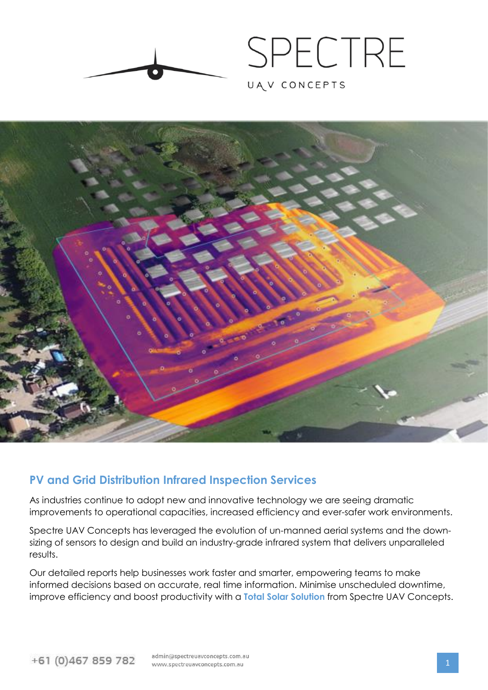



# **PV and Grid Distribution Infrared Inspection Services**

As industries continue to adopt new and innovative technology we are seeing dramatic improvements to operational capacities, increased efficiency and ever-safer work environments.

Spectre UAV Concepts has leveraged the evolution of un-manned aerial systems and the downsizing of sensors to design and build an industry-grade infrared system that delivers unparalleled results.

Our detailed reports help businesses work faster and smarter, empowering teams to make informed decisions based on accurate, real time information. Minimise unscheduled downtime, improve efficiency and boost productivity with a **Total Solar Solution** from Spectre UAV Concepts.

admin@spectreuayconcepts.com.au www.spectreuavconcepts.com.au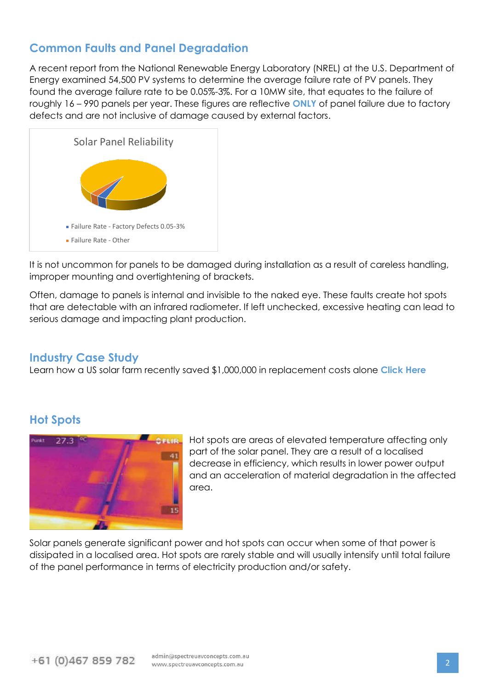### **Common Faults and Panel Degradation**

A recent report from the National Renewable Energy Laboratory (NREL) at the U.S. Department of Energy examined 54,500 PV systems to determine the average failure rate of PV panels. They found the average failure rate to be 0.05%-3%. For a 10MW site, that equates to the failure of roughly 16 – 990 panels per year. These figures are reflective **ONLY** of panel failure due to factory defects and are not inclusive of damage caused by external factors.



It is not uncommon for panels to be damaged during installation as a result of careless handling, improper mounting and overtightening of brackets.

Often, damage to panels is internal and invisible to the naked eye. These faults create hot spots that are detectable with an infrared radiometer. If left unchecked, excessive heating can lead to serious damage and impacting plant production.

### **Industry Case Study**

[Learn how a US solar farm recently saved \\$1,000,000 in replacement costs alone](https://www.linkedin.com/pulse/value-drone-technology-solar-om-case-study-lance-li/) **Click Here**

# **Hot Spots**



Hot spots are areas of elevated temperature affecting only part of the solar panel. They are a result of a localised decrease in efficiency, which results in lower power output and an acceleration of material degradation in the affected area.

Solar panels generate significant power and hot spots can occur when some of that power is dissipated in a localised area. Hot spots are rarely stable and will usually intensify until total failure of the panel performance in terms of electricity production and/or safety.

admin@spectreuavconcepts.com.au www.spectreuavconcepts.com.au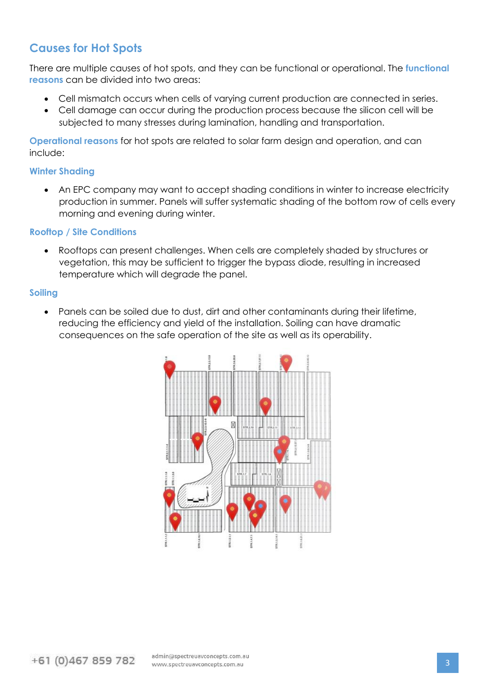# **Causes for Hot Spots**

There are multiple causes of hot spots, and they can be functional or operational. The **functional reasons** can be divided into two areas:

- Cell mismatch occurs when cells of varying current production are connected in series.
- Cell damage can occur during the production process because the silicon cell will be subjected to many stresses during lamination, handling and transportation.

**Operational reasons** for hot spots are related to solar farm design and operation, and can include:

#### **Winter Shading**

• An EPC company may want to accept shading conditions in winter to increase electricity production in summer. Panels will suffer systematic shading of the bottom row of cells every morning and evening during winter.

#### **Rooftop / Site Conditions**

• Rooftops can present challenges. When cells are completely shaded by structures or vegetation, this may be sufficient to trigger the bypass diode, resulting in increased temperature which will degrade the panel.

#### **Soiling**

• Panels can be soiled due to dust, dirt and other contaminants during their lifetime, reducing the efficiency and yield of the installation. Soiling can have dramatic consequences on the safe operation of the site as well as its operability.

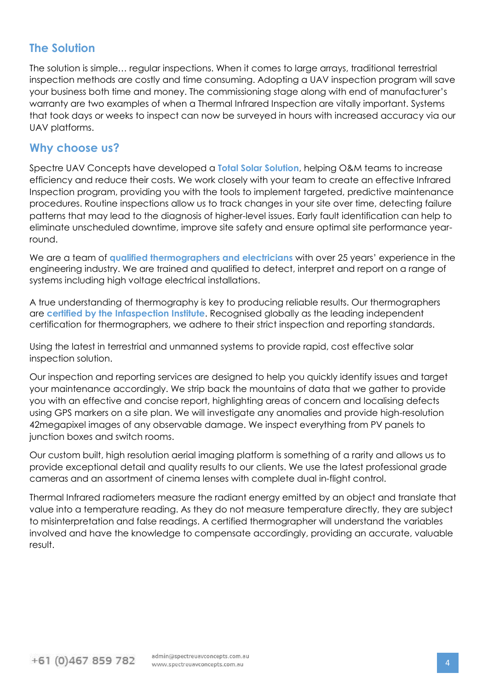### **The Solution**

The solution is simple… regular inspections. When it comes to large arrays, traditional terrestrial inspection methods are costly and time consuming. Adopting a UAV inspection program will save your business both time and money. The commissioning stage along with end of manufacturer's warranty are two examples of when a Thermal Infrared Inspection are vitally important. Systems that took days or weeks to inspect can now be surveyed in hours with increased accuracy via our UAV platforms.

### **Why choose us?**

Spectre UAV Concepts have developed a **Total Solar Solution**, helping O&M teams to increase efficiency and reduce their costs. We work closely with your team to create an effective Infrared Inspection program, providing you with the tools to implement targeted, predictive maintenance procedures. Routine inspections allow us to track changes in your site over time, detecting failure patterns that may lead to the diagnosis of higher-level issues. Early fault identification can help to eliminate unscheduled downtime, improve site safety and ensure optimal site performance yearround.

We are a team of **[qualified thermographers and electricians](https://www.infraspection.com/)** with over 25 years' experience in the engineering industry. We are trained and qualified to detect, interpret and report on a range of systems including high voltage electrical installations.

A true understanding of thermography is key to producing reliable results. Our thermographers are **certified by the [Infaspection](https://www.infraspection.com/) Institute**. Recognised globally as the leading independent certification for thermographers, we adhere to their strict inspection and reporting standards.

Using the latest in terrestrial and unmanned systems to provide rapid, cost effective solar inspection solution.

Our inspection and reporting services are designed to help you quickly identify issues and target your maintenance accordingly. We strip back the mountains of data that we gather to provide you with an effective and concise report, highlighting areas of concern and localising defects using GPS markers on a site plan. We will investigate any anomalies and provide high-resolution 42megapixel images of any observable damage. We inspect everything from PV panels to junction boxes and switch rooms.

Our custom built, high resolution aerial imaging platform is something of a rarity and allows us to provide exceptional detail and quality results to our clients. We use the latest professional grade cameras and an assortment of cinema lenses with complete dual in-flight control.

Thermal Infrared radiometers measure the radiant energy emitted by an object and translate that value into a temperature reading. As they do not measure temperature directly, they are subject to misinterpretation and false readings. A certified thermographer will understand the variables involved and have the knowledge to compensate accordingly, providing an accurate, valuable result.